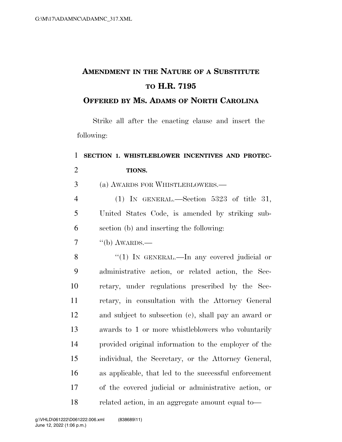## **AMENDMENT IN THE NATURE OF A SUBSTITUTE TO H.R. 7195**

### **OFFERED BY MS. ADAMS OF NORTH CAROLINA**

Strike all after the enacting clause and insert the following:

# **SECTION 1. WHISTLEBLOWER INCENTIVES AND PROTEC- TIONS.**  (a) AWARDS FOR WHISTLEBLOWERS.— (1) IN GENERAL.—Section 5323 of title 31, United States Code, is amended by striking sub- section (b) and inserting the following:  $7 \qquad$  "(b) AWARDS.— 8 "(1) In GENERAL.—In any covered judicial or administrative action, or related action, the Sec- retary, under regulations prescribed by the Sec- retary, in consultation with the Attorney General and subject to subsection (c), shall pay an award or awards to 1 or more whistleblowers who voluntarily provided original information to the employer of the individual, the Secretary, or the Attorney General, as applicable, that led to the successful enforcement of the covered judicial or administrative action, or related action, in an aggregate amount equal to—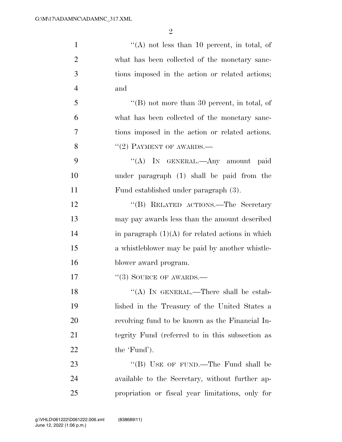| $\mathbf{1}$   | "(A) not less than 10 percent, in total, of         |
|----------------|-----------------------------------------------------|
| $\overline{2}$ | what has been collected of the monetary sanc-       |
| 3              | tions imposed in the action or related actions;     |
| $\overline{4}$ | and                                                 |
| 5              | $\lq\lq$ (B) not more than 30 percent, in total, of |
| 6              | what has been collected of the monetary sanc-       |
| 7              | tions imposed in the action or related actions.     |
| 8              | $"(2)$ PAYMENT OF AWARDS.—                          |
| 9              | "(A) IN GENERAL.—Any amount paid                    |
| 10             | under paragraph (1) shall be paid from the          |
| 11             | Fund established under paragraph (3).               |
| 12             | "(B) RELATED ACTIONS.—The Secretary                 |
| 13             | may pay awards less than the amount described       |
| 14             | in paragraph $(1)(A)$ for related actions in which  |
| 15             | a whistleblower may be paid by another whistle-     |
| 16             | blower award program.                               |
| 17             | $\lq(3)$ SOURCE OF AWARDS.—                         |
| 18             | "(A) IN GENERAL.—There shall be estab-              |
| 19             | lished in the Treasury of the United States a       |
| 20             | revolving fund to be known as the Financial In-     |
| 21             | tegrity Fund (referred to in this subsection as     |
| 22             | the 'Fund').                                        |
| 23             | "(B) USE OF FUND.—The Fund shall be                 |
| 24             | available to the Secretary, without further ap-     |
| 25             | propriation or fiscal year limitations, only for    |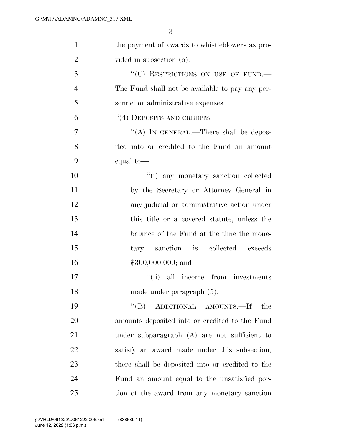| $\mathbf{1}$   | the payment of awards to whistleblowers as pro-  |
|----------------|--------------------------------------------------|
| $\overline{2}$ | vided in subsection (b).                         |
| 3              | "(C) RESTRICTIONS ON USE OF FUND.—               |
| 4              | The Fund shall not be available to pay any per-  |
| 5              | sonnel or administrative expenses.               |
| 6              | $``(4)$ DEPOSITS AND CREDITS.—                   |
| 7              | "(A) IN GENERAL.—There shall be depos-           |
| 8              | ited into or credited to the Fund an amount      |
| 9              | equal to-                                        |
| 10             | "(i) any monetary sanction collected             |
| 11             | by the Secretary or Attorney General in          |
| 12             | any judicial or administrative action under      |
| 13             | this title or a covered statute, unless the      |
| 14             | balance of the Fund at the time the mone-        |
| 15             | tary sanction is collected exceeds               |
| 16             | $$300,000,000;$ and                              |
| 17             | "(ii) all income from investments                |
| 18             | made under paragraph (5).                        |
| 19             | ADDITIONAL AMOUNTS.-If<br>$\lq\lq (B)$<br>the    |
| 20             | amounts deposited into or credited to the Fund   |
| 21             | under subparagraph (A) are not sufficient to     |
| 22             | satisfy an award made under this subsection,     |
| 23             | there shall be deposited into or credited to the |
| 24             | Fund an amount equal to the unsatisfied por-     |
| 25             | tion of the award from any monetary sanction     |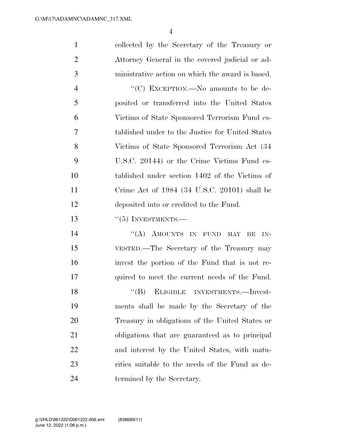collected by the Secretary of the Treasury or Attorney General in the covered judicial or ad-ministrative action on which the award is based.

 $\cdot$  (C) EXCEPTION. No amounts to be de- posited or transferred into the United States Victims of State Sponsored Terrorism Fund es- tablished under to the Justice for United States Victims of State Sponsored Terrorism Act (34 U.S.C. 20144) or the Crime Victims Fund es- tablished under section 1402 of the Victims of Crime Act of 1984 (34 U.S.C. 20101) shall be deposited into or credited to the Fund.

#### 13 "(5) INVESTMENTS.—

14 "(A) AMOUNTS IN FUND MAY BE IN- VESTED.—The Secretary of the Treasury may invest the portion of the Fund that is not re-quired to meet the current needs of the Fund.

18 "(B) ELIGIBLE INVESTMENTS.—Invest- ments shall be made by the Secretary of the Treasury in obligations of the United States or obligations that are guaranteed as to principal and interest by the United States, with matu- rities suitable to the needs of the Fund as de-termined by the Secretary.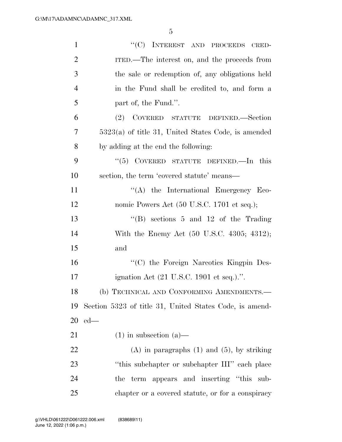| $\mathbf{1}$   | "(C) INTEREST AND PROCEEDS CRED-                             |
|----------------|--------------------------------------------------------------|
| $\overline{2}$ | ITED.—The interest on, and the proceeds from                 |
| 3              | the sale or redemption of, any obligations held              |
| $\overline{4}$ | in the Fund shall be credited to, and form a                 |
| 5              | part of, the Fund.".                                         |
| 6              | (2)<br>COVERED STATUTE DEFINED.—Section                      |
| 7              | $5323(a)$ of title 31, United States Code, is amended        |
| 8              | by adding at the end the following:                          |
| 9              | "(5) COVERED STATUTE DEFINED.—In this                        |
| 10             | section, the term 'covered statute' means—                   |
| 11             | $\lq\lq$ the International Emergency Eco-                    |
| 12             | nomic Powers Act (50 U.S.C. 1701 et seq.);                   |
| 13             | "(B) sections $5$ and $12$ of the Trading                    |
| 14             | With the Enemy Act (50 U.S.C. 4305; 4312);                   |
| 15             | and                                                          |
| 16             | "(C) the Foreign Narcotics Kingpin Des-                      |
| 17             | ignation Act $(21 \text{ U.S.C. } 1901 \text{ et seq.})$ .". |
| 18             | (b) TECHNICAL AND CONFORMING AMENDMENTS.-                    |
| 19             | Section 5323 of title 31, United States Code, is amend-      |
| 20             | $ed$ —                                                       |
| 21             | $(1)$ in subsection $(a)$ —                                  |
| 22             | $(A)$ in paragraphs $(1)$ and $(5)$ , by striking            |
| 23             | "this subchapter or subchapter III" each place               |
| 24             | term appears and inserting "this sub-<br>the                 |
| 25             | chapter or a covered statute, or for a conspiracy            |